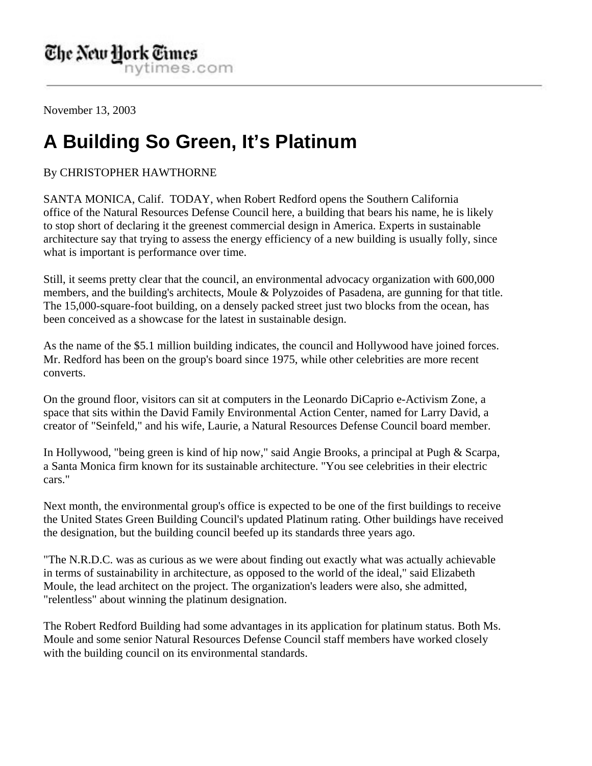November 13, 2003

## **A Building So Green, It's Platinum**

## By CHRISTOPHER HAWTHORNE

SANTA MONICA, Calif. TODAY, when Robert Redford opens the Southern California office of the Natural Resources Defense Council here, a building that bears his name, he is likely to stop short of declaring it the greenest commercial design in America. Experts in sustainable architecture say that trying to assess the energy efficiency of a new building is usually folly, since what is important is performance over time.

Still, it seems pretty clear that the council, an environmental advocacy organization with 600,000 members, and the building's architects, Moule & Polyzoides of Pasadena, are gunning for that title. The 15,000-square-foot building, on a densely packed street just two blocks from the ocean, has been conceived as a showcase for the latest in sustainable design.

As the name of the \$5.1 million building indicates, the council and Hollywood have joined forces. Mr. Redford has been on the group's board since 1975, while other celebrities are more recent converts.

On the ground floor, visitors can sit at computers in the Leonardo DiCaprio e-Activism Zone, a space that sits within the David Family Environmental Action Center, named for Larry David, a creator of "Seinfeld," and his wife, Laurie, a Natural Resources Defense Council board member.

In Hollywood, "being green is kind of hip now," said Angie Brooks, a principal at Pugh & Scarpa, a Santa Monica firm known for its sustainable architecture. "You see celebrities in their electric cars."

Next month, the environmental group's office is expected to be one of the first buildings to receive the United States Green Building Council's updated Platinum rating. Other buildings have received the designation, but the building council beefed up its standards three years ago.

"The N.R.D.C. was as curious as we were about finding out exactly what was actually achievable in terms of sustainability in architecture, as opposed to the world of the ideal," said Elizabeth Moule, the lead architect on the project. The organization's leaders were also, she admitted, "relentless" about winning the platinum designation.

The Robert Redford Building had some advantages in its application for platinum status. Both Ms. Moule and some senior Natural Resources Defense Council staff members have worked closely with the building council on its environmental standards.